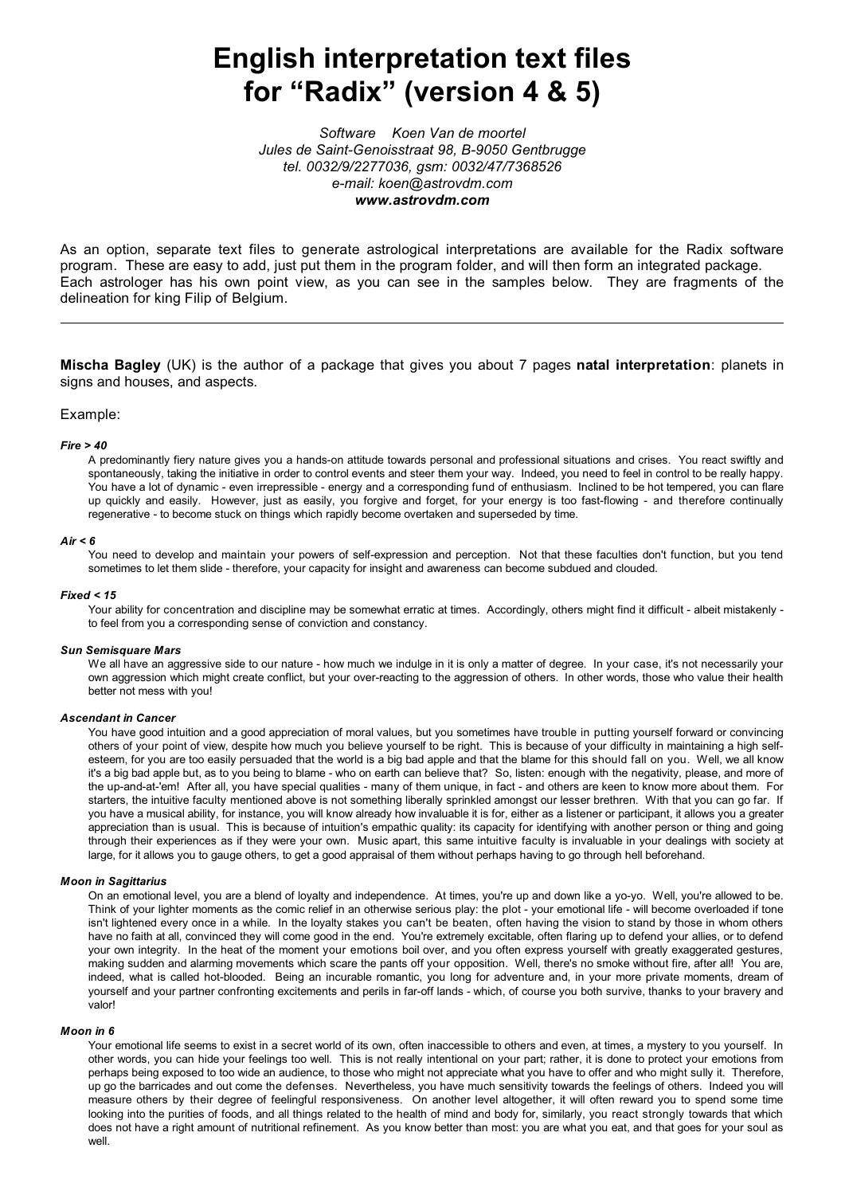# **English interpretation text files for "Radix" (version 4 & 5)**

*Software Koen Van de moortel Jules de Saint-Genoisstraat 98, B-9050 Gentbrugge tel. 0032/9/2277036, gsm: 0032/47/7368526 e-mail: koen@astrovdm.com www.astrovdm.com*

As an option, separate text files to generate astrological interpretations are available for the Radix software program. These are easy to add, just put them in the program folder, and will then form an integrated package. Each astrologer has his own point view, as you can see in the samples below. They are fragments of the delineation for king Filip of Belgium.

**Mischa Bagley** (UK) is the author of a package that gives you about 7 pages **natal interpretation**: planets in signs and houses, and aspects.

# Example:

#### *Fire > 40*

A predominantly fiery nature gives you a hands-on attitude towards personal and professional situations and crises. You react swiftly and spontaneously, taking the initiative in order to control events and steer them your way. Indeed, you need to feel in control to be really happy. You have a lot of dynamic - even irrepressible - energy and a corresponding fund of enthusiasm. Inclined to be hot tempered, you can flare up quickly and easily. However, just as easily, you forgive and forget, for your energy is too fast-flowing - and therefore continually regenerative - to become stuck on things which rapidly become overtaken and superseded by time.

#### *Air < 6*

You need to develop and maintain your powers of self-expression and perception. Not that these faculties don't function, but you tend sometimes to let them slide - therefore, your capacity for insight and awareness can become subdued and clouded.

#### *Fixed < 15*

Your ability for concentration and discipline may be somewhat erratic at times. Accordingly, others might find it difficult - albeit mistakenly to feel from you a corresponding sense of conviction and constancy.

#### *Sun Semisquare Mars*

We all have an aggressive side to our nature - how much we indulge in it is only a matter of degree. In your case, it's not necessarily your own aggression which might create conflict, but your over-reacting to the aggression of others. In other words, those who value their health better not mess with you!

#### *Ascendant in Cancer*

You have good intuition and a good appreciation of moral values, but you sometimes have trouble in putting yourself forward or convincing others of your point of view, despite how much you believe yourself to be right. This is because of your difficulty in maintaining a high selfesteem, for you are too easily persuaded that the world is a big bad apple and that the blame for this should fall on you. Well, we all know it's a big bad apple but, as to you being to blame - who on earth can believe that? So, listen: enough with the negativity, please, and more of the up-and-at-'em! After all, you have special qualities - many of them unique, in fact - and others are keen to know more about them. For starters, the intuitive faculty mentioned above is not something liberally sprinkled amongst our lesser brethren. With that you can go far. If you have a musical ability, for instance, you will know already how invaluable it is for, either as a listener or participant, it allows you a greater appreciation than is usual. This is because of intuition's empathic quality: its capacity for identifying with another person or thing and going through their experiences as if they were your own. Music apart, this same intuitive faculty is invaluable in your dealings with society at large, for it allows you to gauge others, to get a good appraisal of them without perhaps having to go through hell beforehand.

# *Moon in Sagittarius*

On an emotional level, you are a blend of loyalty and independence. At times, you're up and down like a yo-yo. Well, you're allowed to be. Think of your lighter moments as the comic relief in an otherwise serious play: the plot - your emotional life - will become overloaded if tone isn't lightened every once in a while. In the loyalty stakes you can't be beaten, often having the vision to stand by those in whom others have no faith at all, convinced they will come good in the end. You're extremely excitable, often flaring up to defend your allies, or to defend your own integrity. In the heat of the moment your emotions boil over, and you often express yourself with greatly exaggerated gestures, making sudden and alarming movements which scare the pants off your opposition. Well, there's no smoke without fire, after all! You are, indeed, what is called hot-blooded. Being an incurable romantic, you long for adventure and, in your more private moments, dream of yourself and your partner confronting excitements and perils in far-off lands - which, of course you both survive, thanks to your bravery and valor!

#### *Moon in 6*

Your emotional life seems to exist in a secret world of its own, often inaccessible to others and even, at times, a mystery to you yourself. In other words, you can hide your feelings too well. This is not really intentional on your part; rather, it is done to protect your emotions from perhaps being exposed to too wide an audience, to those who might not appreciate what you have to offer and who might sully it. Therefore, up go the barricades and out come the defenses. Nevertheless, you have much sensitivity towards the feelings of others. Indeed you will measure others by their degree of feelingful responsiveness. On another level altogether, it will often reward you to spend some time looking into the purities of foods, and all things related to the health of mind and body for, similarly, you react strongly towards that which does not have a right amount of nutritional refinement. As you know better than most: you are what you eat, and that goes for your soul as well.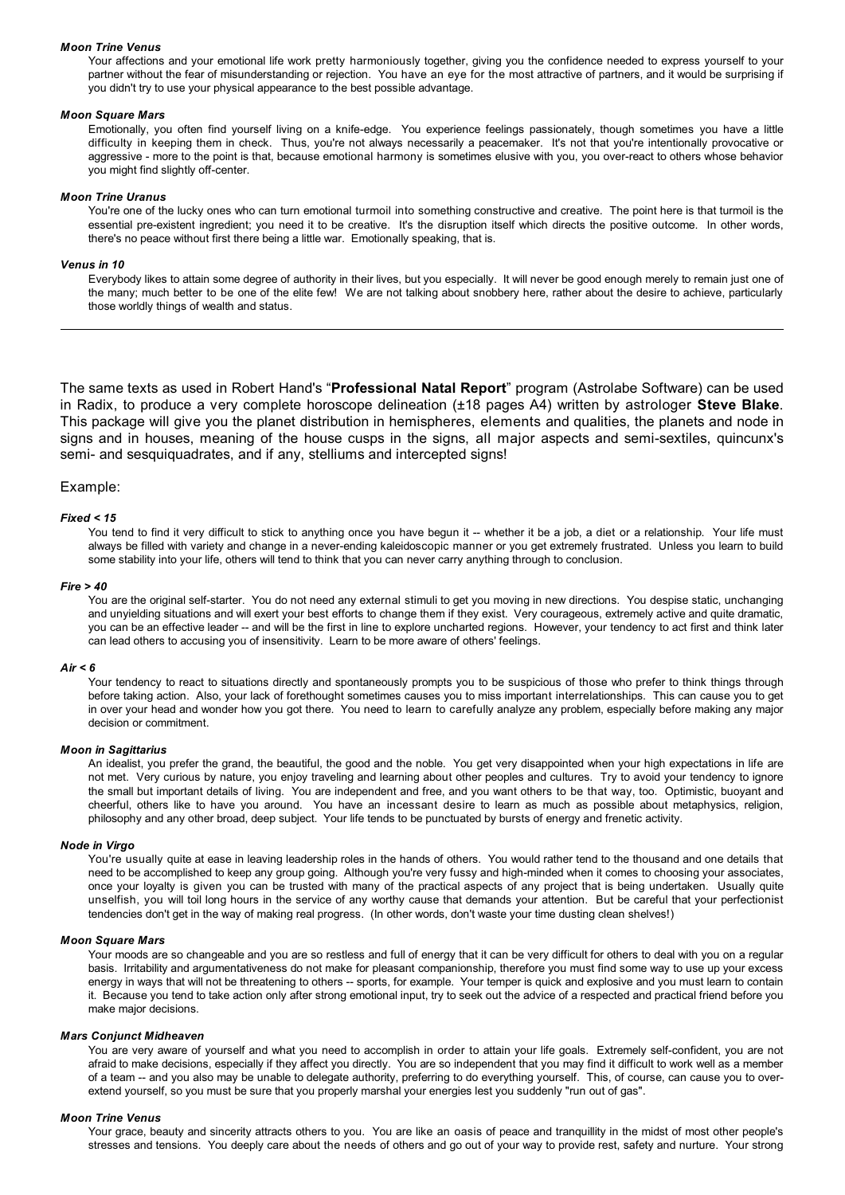#### *Moon Trine Venus*

Your affections and your emotional life work pretty harmoniously together, giving you the confidence needed to express yourself to your partner without the fear of misunderstanding or rejection. You have an eye for the most attractive of partners, and it would be surprising if you didn't try to use your physical appearance to the best possible advantage.

# *Moon Square Mars*

Emotionally, you often find yourself living on a knife-edge. You experience feelings passionately, though sometimes you have a little difficulty in keeping them in check. Thus, you're not always necessarily a peacemaker. It's not that you're intentionally provocative or aggressive - more to the point is that, because emotional harmony is sometimes elusive with you, you over-react to others whose behavior you might find slightly off-center.

#### *Moon Trine Uranus*

You're one of the lucky ones who can turn emotional turmoil into something constructive and creative. The point here is that turmoil is the essential pre-existent ingredient; you need it to be creative. It's the disruption itself which directs the positive outcome. In other words, there's no peace without first there being a little war. Emotionally speaking, that is.

## *Venus in 10*

Everybody likes to attain some degree of authority in their lives, but you especially. It will never be good enough merely to remain just one of the many; much better to be one of the elite few! We are not talking about snobbery here, rather about the desire to achieve, particularly those worldly things of wealth and status.

The same texts as used in Robert Hand's "**Professional Natal Report**" program (Astrolabe Software) can be used in Radix, to produce a very complete horoscope delineation (±18 pages A4) written by astrologer **Steve Blake**. This package will give you the planet distribution in hemispheres, elements and qualities, the planets and node in signs and in houses, meaning of the house cusps in the signs, all major aspects and semi-sextiles, quincunx's semi- and sesquiquadrates, and if any, stelliums and intercepted signs!

#### Example:

#### *Fixed < 15*

You tend to find it very difficult to stick to anything once you have begun it -- whether it be a job, a diet or a relationship. Your life must always be filled with variety and change in a never-ending kaleidoscopic manner or you get extremely frustrated. Unless you learn to build some stability into your life, others will tend to think that you can never carry anything through to conclusion.

#### *Fire > 40*

You are the original self-starter. You do not need any external stimuli to get you moving in new directions. You despise static, unchanging and unyielding situations and will exert your best efforts to change them if they exist. Very courageous, extremely active and quite dramatic, you can be an effective leader -- and will be the first in line to explore uncharted regions. However, your tendency to act first and think later can lead others to accusing you of insensitivity. Learn to be more aware of others' feelings.

#### *Air < 6*

Your tendency to react to situations directly and spontaneously prompts you to be suspicious of those who prefer to think things through before taking action. Also, your lack of forethought sometimes causes you to miss important interrelationships. This can cause you to get in over your head and wonder how you got there. You need to learn to carefully analyze any problem, especially before making any major decision or commitment.

#### *Moon in Sagittarius*

An idealist, you prefer the grand, the beautiful, the good and the noble. You get very disappointed when your high expectations in life are not met. Very curious by nature, you enjoy traveling and learning about other peoples and cultures. Try to avoid your tendency to ignore the small but important details of living. You are independent and free, and you want others to be that way, too. Optimistic, buoyant and cheerful, others like to have you around. You have an incessant desire to learn as much as possible about metaphysics, religion, philosophy and any other broad, deep subject. Your life tends to be punctuated by bursts of energy and frenetic activity.

#### *Node in Virgo*

You're usually quite at ease in leaving leadership roles in the hands of others. You would rather tend to the thousand and one details that need to be accomplished to keep any group going. Although you're very fussy and high-minded when it comes to choosing your associates, once your loyalty is given you can be trusted with many of the practical aspects of any project that is being undertaken. Usually quite unselfish, you will toil long hours in the service of any worthy cause that demands your attention. But be careful that your perfectionist tendencies don't get in the way of making real progress. (In other words, don't waste your time dusting clean shelves!)

#### *Moon Square Mars*

Your moods are so changeable and you are so restless and full of energy that it can be very difficult for others to deal with you on a regular basis. Irritability and argumentativeness do not make for pleasant companionship, therefore you must find some way to use up your excess energy in ways that will not be threatening to others -- sports, for example. Your temper is quick and explosive and you must learn to contain it. Because you tend to take action only after strong emotional input, try to seek out the advice of a respected and practical friend before you make major decisions.

#### *Mars Conjunct Midheaven*

You are very aware of yourself and what you need to accomplish in order to attain your life goals. Extremely self-confident, you are not afraid to make decisions, especially if they affect you directly. You are so independent that you may find it difficult to work well as a member of a team -- and you also may be unable to delegate authority, preferring to do everything yourself. This, of course, can cause you to overextend yourself, so you must be sure that you properly marshal your energies lest you suddenly "run out of gas".

#### *Moon Trine Venus*

Your grace, beauty and sincerity attracts others to you. You are like an oasis of peace and tranquillity in the midst of most other people's stresses and tensions. You deeply care about the needs of others and go out of your way to provide rest, safety and nurture. Your strong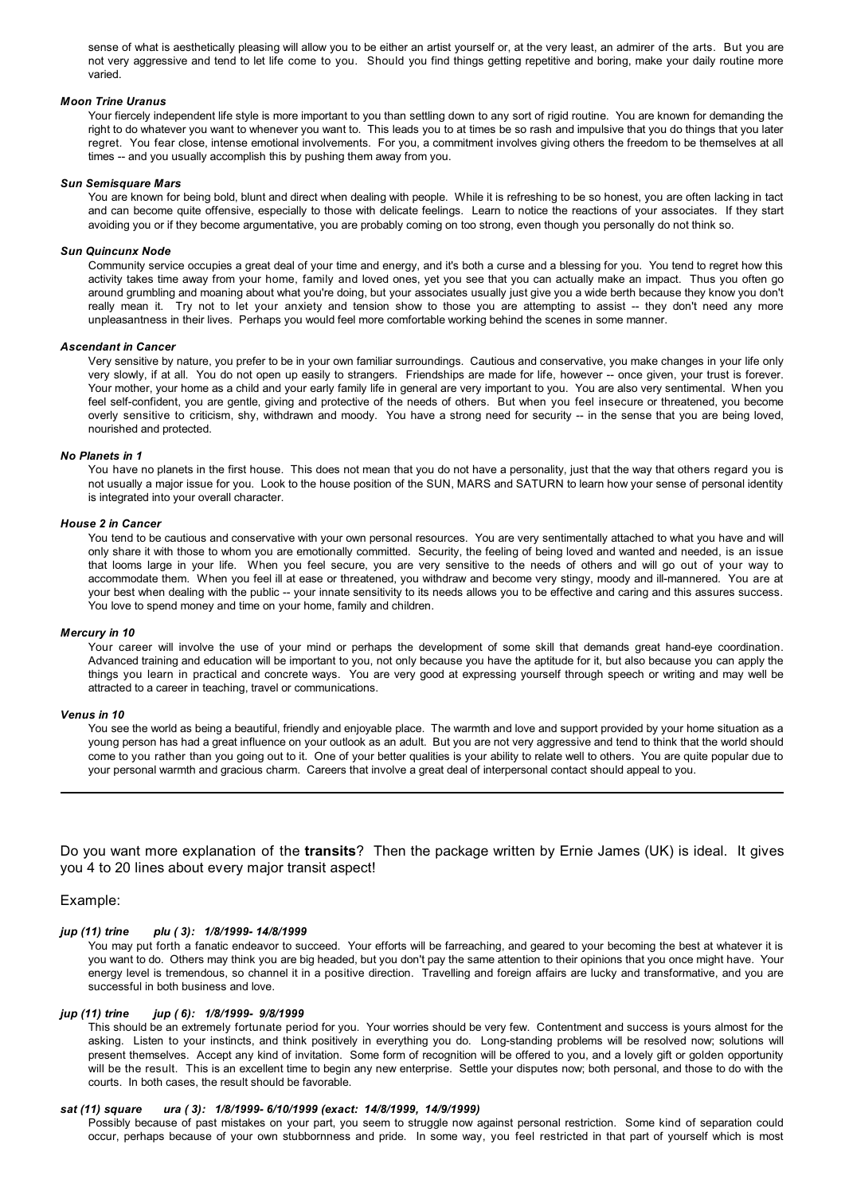sense of what is aesthetically pleasing will allow you to be either an artist yourself or, at the very least, an admirer of the arts. But you are not very aggressive and tend to let life come to you. Should you find things getting repetitive and boring, make your daily routine more varied.

## *Moon Trine Uranus*

Your fiercely independent life style is more important to you than settling down to any sort of rigid routine. You are known for demanding the right to do whatever you want to whenever you want to. This leads you to at times be so rash and impulsive that you do things that you later regret. You fear close, intense emotional involvements. For you, a commitment involves giving others the freedom to be themselves at all times -- and you usually accomplish this by pushing them away from you.

#### *Sun Semisquare Mars*

You are known for being bold, blunt and direct when dealing with people. While it is refreshing to be so honest, you are often lacking in tact and can become quite offensive, especially to those with delicate feelings. Learn to notice the reactions of your associates. If they start avoiding you or if they become argumentative, you are probably coming on too strong, even though you personally do not think so.

#### *Sun Quincunx Node*

Community service occupies a great deal of your time and energy, and it's both a curse and a blessing for you. You tend to regret how this activity takes time away from your home, family and loved ones, yet you see that you can actually make an impact. Thus you often go around grumbling and moaning about what you're doing, but your associates usually just give you a wide berth because they know you don't really mean it. Try not to let your anxiety and tension show to those you are attempting to assist -- they don't need any more unpleasantness in their lives. Perhaps you would feel more comfortable working behind the scenes in some manner.

#### *Ascendant in Cancer*

Very sensitive by nature, you prefer to be in your own familiar surroundings. Cautious and conservative, you make changes in your life only very slowly, if at all. You do not open up easily to strangers. Friendships are made for life, however -- once given, your trust is forever. Your mother, your home as a child and your early family life in general are very important to you. You are also very sentimental. When you feel self-confident, you are gentle, giving and protective of the needs of others. But when you feel insecure or threatened, you become overly sensitive to criticism, shy, withdrawn and moody. You have a strong need for security -- in the sense that you are being loved, nourished and protected.

# *No Planets in 1*

You have no planets in the first house. This does not mean that you do not have a personality, just that the way that others regard you is not usually a major issue for you. Look to the house position of the SUN, MARS and SATURN to learn how your sense of personal identity is integrated into your overall character.

# *House 2 in Cancer*

You tend to be cautious and conservative with your own personal resources. You are very sentimentally attached to what you have and will only share it with those to whom you are emotionally committed. Security, the feeling of being loved and wanted and needed, is an issue that looms large in your life. When you feel secure, you are very sensitive to the needs of others and will go out of your way to accommodate them. When you feel ill at ease or threatened, you withdraw and become very stingy, moody and ill-mannered. You are at your best when dealing with the public -- your innate sensitivity to its needs allows you to be effective and caring and this assures success. You love to spend money and time on your home, family and children.

#### *Mercury in 10*

Your career will involve the use of your mind or perhaps the development of some skill that demands great hand-eye coordination. Advanced training and education will be important to you, not only because you have the aptitude for it, but also because you can apply the things you learn in practical and concrete ways. You are very good at expressing yourself through speech or writing and may well be attracted to a career in teaching, travel or communications.

#### *Venus in 10*

You see the world as being a beautiful, friendly and enjoyable place. The warmth and love and support provided by your home situation as a young person has had a great influence on your outlook as an adult. But you are not very aggressive and tend to think that the world should come to you rather than you going out to it. One of your better qualities is your ability to relate well to others. You are quite popular due to your personal warmth and gracious charm. Careers that involve a great deal of interpersonal contact should appeal to you.

Do you want more explanation of the **transits**? Then the package written by Ernie James (UK) is ideal. It gives you 4 to 20 lines about every major transit aspect!

# Example:

# *jup (11) trine plu ( 3): 1/8/1999- 14/8/1999*

You may put forth a fanatic endeavor to succeed. Your efforts will be farreaching, and geared to your becoming the best at whatever it is you want to do. Others may think you are big headed, but you don't pay the same attention to their opinions that you once might have. Your energy level is tremendous, so channel it in a positive direction. Travelling and foreign affairs are lucky and transformative, and you are successful in both business and love.

# *jup (11) trine jup ( 6): 1/8/1999- 9/8/1999*

This should be an extremely fortunate period for you. Your worries should be very few. Contentment and success is yours almost for the asking. Listen to your instincts, and think positively in everything you do. Long-standing problems will be resolved now; solutions will present themselves. Accept any kind of invitation. Some form of recognition will be offered to you, and a lovely gift or golden opportunity will be the result. This is an excellent time to begin any new enterprise. Settle your disputes now; both personal, and those to do with the courts. In both cases, the result should be favorable.

# *sat (11) square ura ( 3): 1/8/1999- 6/10/1999 (exact: 14/8/1999, 14/9/1999)*

Possibly because of past mistakes on your part, you seem to struggle now against personal restriction. Some kind of separation could occur, perhaps because of your own stubbornness and pride. In some way, you feel restricted in that part of yourself which is most